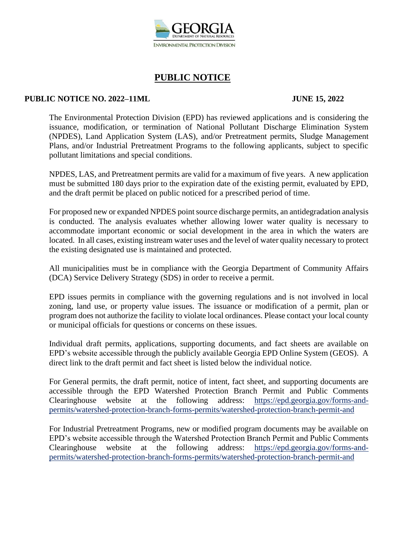

#### **PUBLIC NOTICE NO. 2022–11ML JUNE 15, 2022**

The Environmental Protection Division (EPD) has reviewed applications and is considering the issuance, modification, or termination of National Pollutant Discharge Elimination System (NPDES), Land Application System (LAS), and/or Pretreatment permits, Sludge Management Plans, and/or Industrial Pretreatment Programs to the following applicants, subject to specific pollutant limitations and special conditions.

NPDES, LAS, and Pretreatment permits are valid for a maximum of five years. A new application must be submitted 180 days prior to the expiration date of the existing permit, evaluated by EPD, and the draft permit be placed on public noticed for a prescribed period of time.

For proposed new or expanded NPDES point source discharge permits, an antidegradation analysis is conducted. The analysis evaluates whether allowing lower water quality is necessary to accommodate important economic or social development in the area in which the waters are located. In all cases, existing instream water uses and the level of water quality necessary to protect the existing designated use is maintained and protected.

All municipalities must be in compliance with the Georgia Department of Community Affairs (DCA) Service Delivery Strategy (SDS) in order to receive a permit.

EPD issues permits in compliance with the governing regulations and is not involved in local zoning, land use, or property value issues. The issuance or modification of a permit, plan or program does not authorize the facility to violate local ordinances. Please contact your local county or municipal officials for questions or concerns on these issues.

Individual draft permits, applications, supporting documents, and fact sheets are available on EPD's website accessible through the publicly available Georgia EPD Online System (GEOS). A direct link to the draft permit and fact sheet is listed below the individual notice.

For General permits, the draft permit, notice of intent, fact sheet, and supporting documents are accessible through the EPD Watershed Protection Branch Permit and Public Comments Clearinghouse website at the following address: https://epd.georgia.gov/forms-andpermits/watershed-protection-branch-forms-permits/watershed-protection-branch-permit-and

For Industrial Pretreatment Programs, new or modified program documents may be available on EPD's website accessible through the Watershed Protection Branch Permit and Public Comments Clearinghouse website at the following address: https://epd.georgia.gov/forms-andpermits/watershed-protection-branch-forms-permits/watershed-protection-branch-permit-and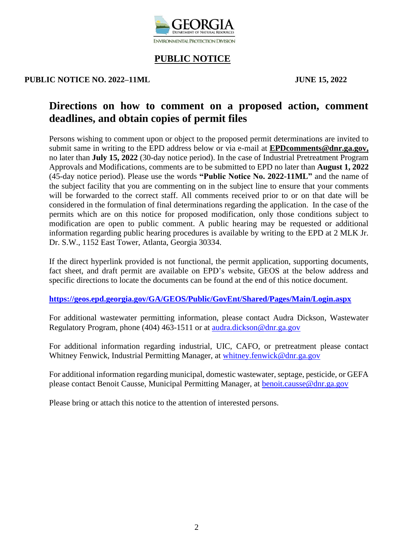

#### **PUBLIC NOTICE NO. 2022–11ML JUNE 15, 2022**

# **Directions on how to comment on a proposed action, comment deadlines, and obtain copies of permit files**

Persons wishing to comment upon or object to the proposed permit determinations are invited to submit same in writing to the EPD address below or via e-mail at **EPDcomments@dnr.ga.gov,** no later than **July 15, 2022** (30-day notice period). In the case of Industrial Pretreatment Program Approvals and Modifications, comments are to be submitted to EPD no later than **August 1, 2022** (45-day notice period). Please use the words **"Public Notice No. 2022-11ML"** and the name of the subject facility that you are commenting on in the subject line to ensure that your comments will be forwarded to the correct staff. All comments received prior to or on that date will be considered in the formulation of final determinations regarding the application. In the case of the permits which are on this notice for proposed modification, only those conditions subject to modification are open to public comment. A public hearing may be requested or additional information regarding public hearing procedures is available by writing to the EPD at 2 MLK Jr. Dr. S.W., 1152 East Tower, Atlanta, Georgia 30334.

If the direct hyperlink provided is not functional, the permit application, supporting documents, fact sheet, and draft permit are available on EPD's website, GEOS at the below address and specific directions to locate the documents can be found at the end of this notice document.

**<https://geos.epd.georgia.gov/GA/GEOS/Public/GovEnt/Shared/Pages/Main/Login.aspx>**

For additional wastewater permitting information, please contact Audra Dickson, Wastewater Regulatory Program, phone (404) 463-1511 or at [audra.dickson@dnr.ga.gov](mailto:audra.dickson@dnr.ga.gov)

For additional information regarding industrial, UIC, CAFO, or pretreatment please contact Whitney Fenwick, Industrial Permitting Manager, at [whitney.fenwick@dnr.ga.gov](mailto:whitney.fenwick@dnr.ga.gov)

For additional information regarding municipal, domestic wastewater, septage, pesticide, or GEFA please contact Benoit Causse, Municipal Permitting Manager, at [benoit.causse@dnr.ga.gov](mailto:benoit.causse@dnr.ga.gov)

Please bring or attach this notice to the attention of interested persons.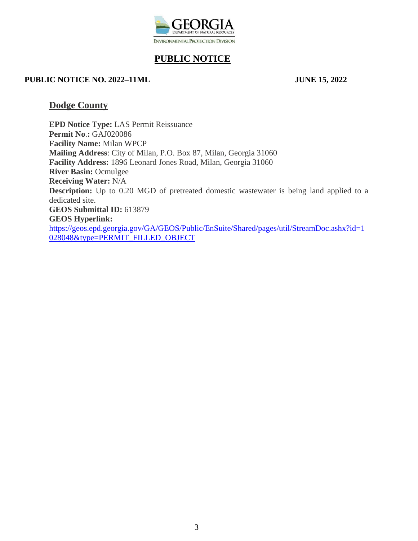

#### **PUBLIC NOTICE NO. 2022–11ML JUNE 15, 2022**

## **Dodge County**

**EPD Notice Type:** LAS Permit Reissuance **Permit No**.**:** GAJ020086 **Facility Name:** Milan WPCP **Mailing Address**: City of Milan, P.O. Box 87, Milan, Georgia 31060 **Facility Address:** 1896 Leonard Jones Road, Milan, Georgia 31060 **River Basin:** Ocmulgee **Receiving Water:** N/A **Description:** Up to 0.20 MGD of pretreated domestic wastewater is being land applied to a dedicated site. **GEOS Submittal ID:** 613879 **GEOS Hyperlink:**  [https://geos.epd.georgia.gov/GA/GEOS/Public/EnSuite/Shared/pages/util/StreamDoc.ashx?id=1](https://gcc02.safelinks.protection.outlook.com/?url=https%3A%2F%2Fgeos.epd.georgia.gov%2FGA%2FGEOS%2FPublic%2FEnSuite%2FShared%2Fpages%2Futil%2FStreamDoc.ashx%3Fid%3D1028048%26type%3DPERMIT_FILLED_OBJECT&data=05%7C01%7Candronicki.dorsey%40dnr.ga.gov%7C5d6161c6db5c4db3a01d08da498678dc%7C512da10d071b4b948abc9ec4044d1516%7C0%7C0%7C637903139290364181%7CUnknown%7CTWFpbGZsb3d8eyJWIjoiMC4wLjAwMDAiLCJQIjoiV2luMzIiLCJBTiI6Ik1haWwiLCJXVCI6Mn0%3D%7C3000%7C%7C%7C&sdata=zvyetLHJt5CSL%2BCsO1luwMAxd3au%2FsrFka8sBcHWX%2Bo%3D&reserved=0) [028048&type=PERMIT\\_FILLED\\_OBJECT](https://gcc02.safelinks.protection.outlook.com/?url=https%3A%2F%2Fgeos.epd.georgia.gov%2FGA%2FGEOS%2FPublic%2FEnSuite%2FShared%2Fpages%2Futil%2FStreamDoc.ashx%3Fid%3D1028048%26type%3DPERMIT_FILLED_OBJECT&data=05%7C01%7Candronicki.dorsey%40dnr.ga.gov%7C5d6161c6db5c4db3a01d08da498678dc%7C512da10d071b4b948abc9ec4044d1516%7C0%7C0%7C637903139290364181%7CUnknown%7CTWFpbGZsb3d8eyJWIjoiMC4wLjAwMDAiLCJQIjoiV2luMzIiLCJBTiI6Ik1haWwiLCJXVCI6Mn0%3D%7C3000%7C%7C%7C&sdata=zvyetLHJt5CSL%2BCsO1luwMAxd3au%2FsrFka8sBcHWX%2Bo%3D&reserved=0)